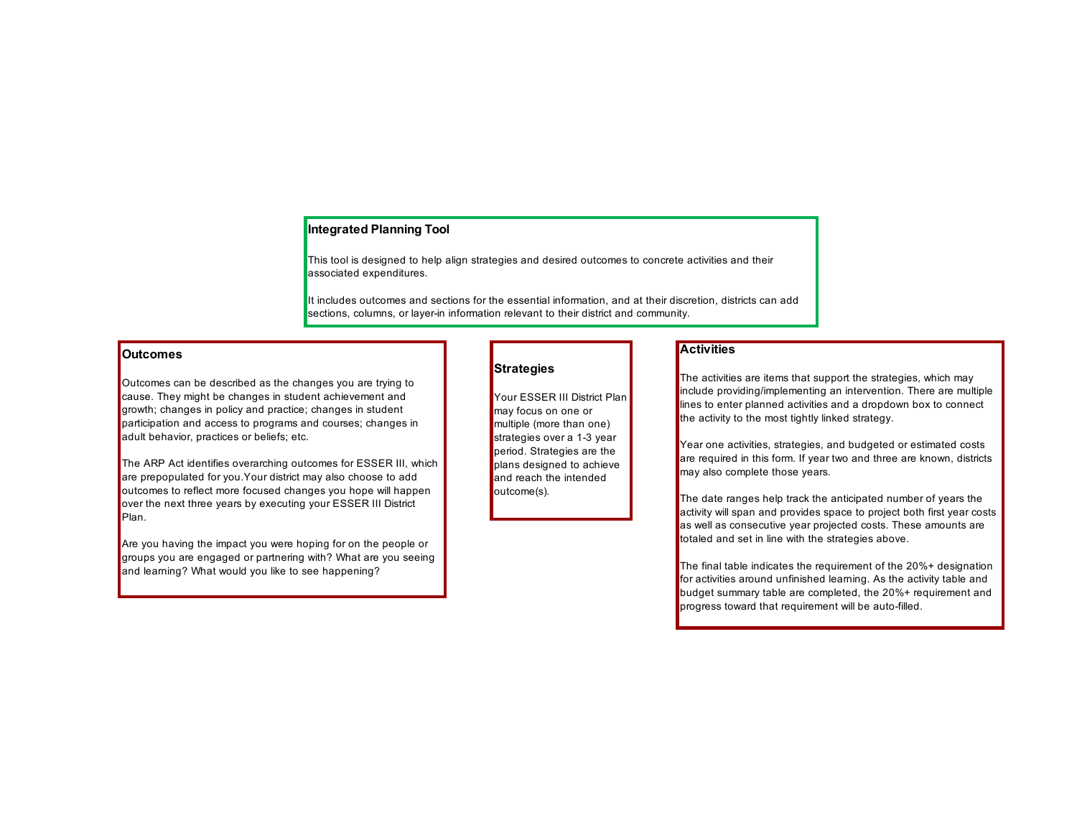### **Integrated Planning Tool**

This tool is designed to help align strategies and desired outcomes to concrete activities and their associated expenditures.

It includes outcomes and sections for the essential information, and at their discretion, districts can add sections, columns, or layer-in information relevant to their district and community.

#### **Outcomes**

Outcomes can be described as the changes you are trying to cause. They might be changes in student achievement and growth; changes in policy and practice; changes in student participation and access to programs and courses; changes in adult behavior, practices or beliefs; etc.

The ARP Act identifies overarching outcomes for ESSER III, which are prepopulated for you.Your district may also choose to add outcomes to reflect more focused changes you hope will happen over the next three years by executing your ESSER III District Plan.

Are you having the impact you were hoping for on the people or groups you are engaged or partnering with? What are you seeing and learning? What would you like to see happening?

#### **Strategies**

Your ESSER III District Plan may focus on one or multiple (more than one) strategies over a 1-3 year period. Strategies are the plans designed to achieve and reach the intended outcome(s).

#### **Activities**

The activities are items that support the strategies, which may include providing/implementing an intervention. There are multiple lines to enter planned activities and a dropdown box to connect the activity to the most tightly linked strategy.

Year one activities, strategies, and budgeted or estimated costs are required in this form. If year two and three are known, districts may also complete those years.

The date ranges help track the anticipated number of years the activity will span and provides space to project both first year costs as well as consecutive year projected costs. These amounts are totaled and set in line with the strategies above.

The final table indicates the requirement of the 20%+ designation for activities around unfinished learning. As the activity table and budget summary table are completed, the 20%+ requirement and progress toward that requirement will be auto-filled.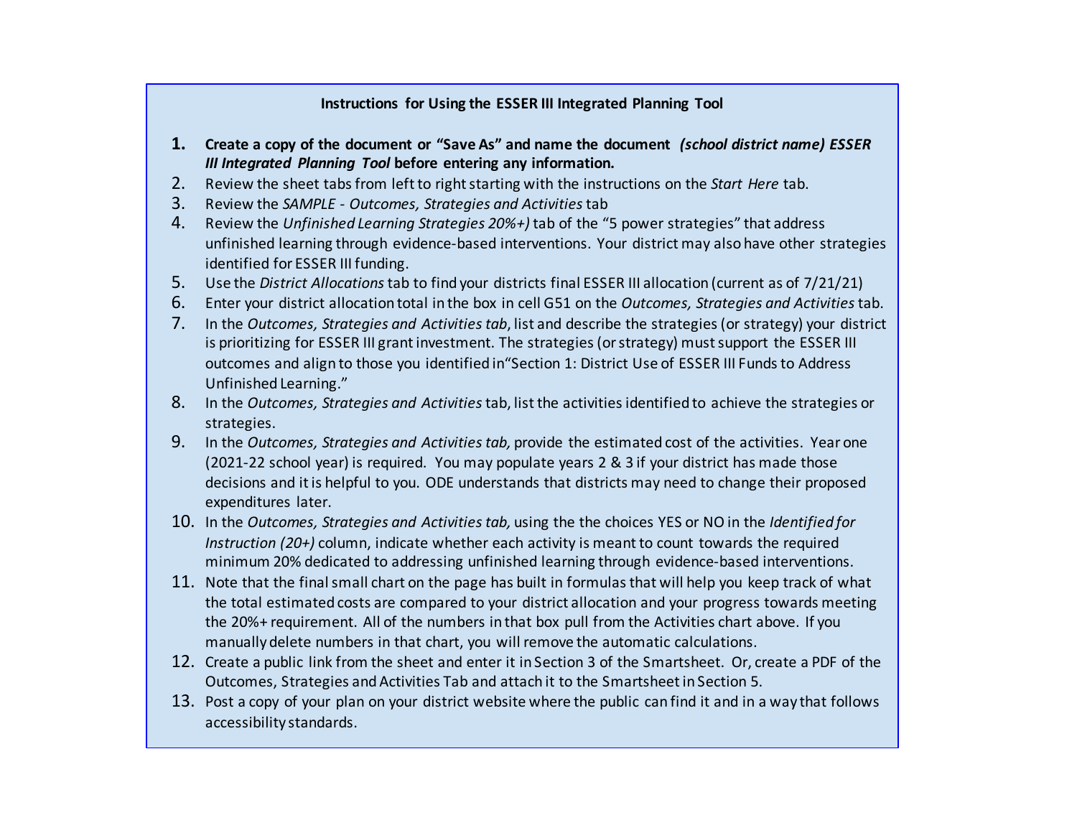## **Instructions for Using the ESSER III Integrated Planning Tool**

- **1. Create a copy of the document or "Save As" and name the document** *(school district name) ESSER III Integrated Planning Tool* **before entering any information.**
- 2. Review the sheet tabs from left to right starting with the instructions on the *Start Here* tab.
- 3. Review the *SAMPLE - Outcomes, Strategies and Activities*tab
- 4. Review the *Unfinished Learning Strategies 20%+)* tab of the "5 power strategies" that address unfinished learning through evidence-based interventions. Your district may also have other strategies identified for ESSER III funding.
- 5. Use the *District Allocations*tab to find your districts final ESSER III allocation (current as of 7/21/21)
- 6. Enter your district allocation total in the box in cell G51 on the *Outcomes, Strategies and Activities* tab.
- 7. In the *Outcomes, Strategies and Activities tab*, list and describe the strategies (or strategy) your district is prioritizing for ESSER III grant investment. The strategies (or strategy) must support the ESSER III outcomes and align to those you identified in"Section 1: District Use of ESSER III Funds to Address Unfinished Learning."
- 8. In the *Outcomes, Strategies and Activities*tab, list the activities identified to achieve the strategies or strategies.
- 9. In the *Outcomes, Strategies and Activities tab,* provide the estimated cost of the activities. Year one (2021-22 school year) is required. You may populate years 2 & 3 if your district has made those decisions and it is helpful to you. ODE understands that districts may need to change their proposed expenditures later.
- 10. In the *Outcomes, Strategies and Activities tab,* using the the choices YES or NO in the *Identified for Instruction (20+)* column, indicate whether each activity is meant to count towards the required minimum 20% dedicated to addressing unfinished learning through evidence-based interventions.
- 11. Note that the final small chart on the page has built in formulas that will help you keep track of what the total estimated costs are compared to your district allocation and your progress towards meeting the 20%+ requirement. All of the numbers in that box pull from the Activities chart above. If you manually delete numbers in that chart, you will remove the automatic calculations.
- 12. Create a public link from the sheet and enter it in Section 3 of the Smartsheet. Or, create a PDF of the Outcomes, Strategies and Activities Tab and attach it to the Smartsheet in Section 5.
- 13. Post a copy of your plan on your district website where the public can find it and in a way that follows accessibility standards.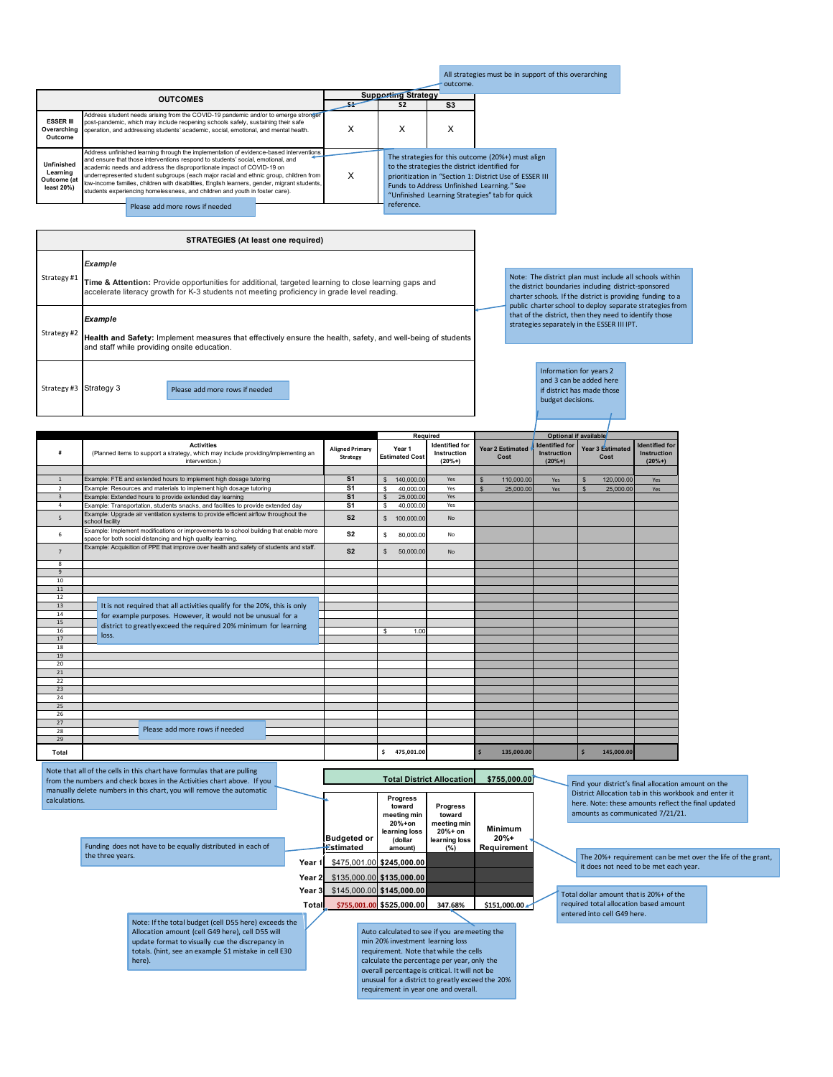|                                                               |                                                                                                                                                                                                                                                                                                                                                                                                                                                                                                                            |   |                            | outcome.                                      | All strategies must be in support of this overarching                                                                                                                                                        |  |
|---------------------------------------------------------------|----------------------------------------------------------------------------------------------------------------------------------------------------------------------------------------------------------------------------------------------------------------------------------------------------------------------------------------------------------------------------------------------------------------------------------------------------------------------------------------------------------------------------|---|----------------------------|-----------------------------------------------|--------------------------------------------------------------------------------------------------------------------------------------------------------------------------------------------------------------|--|
|                                                               | <b>OUTCOMES</b>                                                                                                                                                                                                                                                                                                                                                                                                                                                                                                            |   | <b>Supporting Strategy</b> |                                               |                                                                                                                                                                                                              |  |
|                                                               |                                                                                                                                                                                                                                                                                                                                                                                                                                                                                                                            |   | S <sub>2</sub>             | S <sub>3</sub>                                |                                                                                                                                                                                                              |  |
| <b>ESSER III</b><br>Overarching<br>Outcome                    | Address student needs arising from the COVID-19 pandemic and/or to emerge stronger<br>post-pandemic, which may include reopening schools safely, sustaining their safe<br>operation, and addressing students' academic, social, emotional, and mental health.                                                                                                                                                                                                                                                              | x | х                          | x                                             |                                                                                                                                                                                                              |  |
| <b>Unfinished</b><br>Learning<br>Outcome (at<br>$least 20\%)$ | Address unfinished learning through the implementation of evidence-based interventions<br>and ensure that those interventions respond to students' social, emotional, and<br>academic needs and address the disproportionate impact of COVID-19 on<br>underrepresented student subgroups (each major racial and ethnic group, children from<br>low-income families, children with disabilities, English learners, gender, migrant students,<br>students experiencing homelessness, and children and youth in foster care). | x |                            | to the strategies the district identified for | The strategies for this outcome (20%+) must align<br>prioritization in "Section 1: District Use of ESSER III<br>Funds to Address Unfinished Learning." See<br>"Unfinished Learning Strategies" tab for quick |  |
|                                                               | Please add more rows if needed                                                                                                                                                                                                                                                                                                                                                                                                                                                                                             |   | reference.                 |                                               |                                                                                                                                                                                                              |  |

Strategy #1 Strategy #2 Strategy #3 Strategy 3 **STRATEGIES (At least one required)**  *Example* **Time & Attention:** Provide opportunities for additional, targeted learning to close learning gaps and accelerate literacy growth for K-3 students not meeting proficiency in grade level reading. *Example* **Health and Safety:** Implement measures that effectively ensure the health, safety, and well-being of students<br>and staff while providing onsite education. Please add more rows if needed

Note: The district plan must include all schools within<br>the district boundaries including district-sponsored<br>charter schools. If the district is providing funding to a<br>public charter school to deploy separate strategies fr

Information for years 2 and 3 can be added here if district has made those budget decisions.

|                |                                                                                                                                                     |                                    |                                 | Required                                         |                                 |                                                         | Optional if available            |                                                         |
|----------------|-----------------------------------------------------------------------------------------------------------------------------------------------------|------------------------------------|---------------------------------|--------------------------------------------------|---------------------------------|---------------------------------------------------------|----------------------------------|---------------------------------------------------------|
|                | <b>Activities</b><br>(Planned items to support a strategy, which may include providing/implementing an<br>intervention.)                            | <b>Aligned Primary</b><br>Strategy | Year 1<br><b>Estimated Cost</b> | <b>Identified for</b><br>Instruction<br>$(20%+)$ | <b>Year 2 Estimated</b><br>Cost | <b>Identified for</b><br><b>Instruction</b><br>$(20%+)$ | Year 3 Estimated<br>Cost         | <b>Identified for</b><br><b>Instruction</b><br>$(20%+)$ |
|                |                                                                                                                                                     |                                    |                                 |                                                  |                                 |                                                         |                                  |                                                         |
| $\mathbf{1}$   | Example: FTE and extended hours to implement high dosage tutoring                                                                                   | S <sub>1</sub>                     | 140,000.00<br>$\mathbb{S}$      | Yes                                              | 110,000,00<br>$\mathbb{S}$      | Yes                                                     | 120,000,00<br>$\mathbf{\hat{s}}$ | Yes                                                     |
| $\mathcal{P}$  | Example: Resources and materials to implement high dosage tutoring                                                                                  | $\overline{\mathbf{s}}$ 1          | $\mathbf{s}$<br>40,000.00       | Yes                                              | $\mathbf{s}$<br>25,000.00       | Yes                                                     | $\mathbf{s}$<br>25,000.00        | Yes                                                     |
| $\overline{3}$ | Example: Extended hours to provide extended day learning                                                                                            | S <sub>1</sub>                     | $\mathfrak{s}$<br>25,000.00     | Yes                                              |                                 |                                                         |                                  |                                                         |
| $\overline{a}$ | Example: Transportation, students snacks, and facilities to provide extended day                                                                    | S <sub>1</sub>                     | \$.<br>40.000.00                | Yes                                              |                                 |                                                         |                                  |                                                         |
| 5              | Example: Upgrade air ventilation systems to provide efficient airflow throughout the<br>school facility                                             | S <sub>2</sub>                     | \$100,000.00                    | <b>No</b>                                        |                                 |                                                         |                                  |                                                         |
| 6              | Example: Implement modifications or improvements to school building that enable more<br>space for both social distancing and high quality learning. | S <sub>2</sub>                     | s<br>80,000.00                  | <b>No</b>                                        |                                 |                                                         |                                  |                                                         |
| $\overline{7}$ | Example: Acquisition of PPE that improve over health and safety of students and staff.                                                              | S <sub>2</sub>                     | $\mathbb{S}$<br>50,000.00       | <b>No</b>                                        |                                 |                                                         |                                  |                                                         |
| 8              |                                                                                                                                                     |                                    |                                 |                                                  |                                 |                                                         |                                  |                                                         |
| $\overline{9}$ |                                                                                                                                                     |                                    |                                 |                                                  |                                 |                                                         |                                  |                                                         |
| 10             |                                                                                                                                                     |                                    |                                 |                                                  |                                 |                                                         |                                  |                                                         |
| 11             |                                                                                                                                                     |                                    |                                 |                                                  |                                 |                                                         |                                  |                                                         |
| 12             |                                                                                                                                                     |                                    |                                 |                                                  |                                 |                                                         |                                  |                                                         |
| 13             | It is not required that all activities qualify for the 20%, this is only                                                                            |                                    |                                 |                                                  |                                 |                                                         |                                  |                                                         |
| 14             | for example purposes. However, it would not be unusual for a                                                                                        |                                    |                                 |                                                  |                                 |                                                         |                                  |                                                         |
| 15<br>16       | district to greatly exceed the required 20% minimum for learning                                                                                    |                                    |                                 |                                                  |                                 |                                                         |                                  |                                                         |
| 17             | loss.                                                                                                                                               |                                    | s<br>1.00                       |                                                  |                                 |                                                         |                                  |                                                         |
| 18             |                                                                                                                                                     |                                    |                                 |                                                  |                                 |                                                         |                                  |                                                         |
| 19             |                                                                                                                                                     |                                    |                                 |                                                  |                                 |                                                         |                                  |                                                         |
| 20             |                                                                                                                                                     |                                    |                                 |                                                  |                                 |                                                         |                                  |                                                         |
| 21             |                                                                                                                                                     |                                    |                                 |                                                  |                                 |                                                         |                                  |                                                         |
| 22             |                                                                                                                                                     |                                    |                                 |                                                  |                                 |                                                         |                                  |                                                         |
| 23             |                                                                                                                                                     |                                    |                                 |                                                  |                                 |                                                         |                                  |                                                         |
| 24             |                                                                                                                                                     |                                    |                                 |                                                  |                                 |                                                         |                                  |                                                         |
| 25             |                                                                                                                                                     |                                    |                                 |                                                  |                                 |                                                         |                                  |                                                         |
| 26             |                                                                                                                                                     |                                    |                                 |                                                  |                                 |                                                         |                                  |                                                         |
| 27             |                                                                                                                                                     |                                    |                                 |                                                  |                                 |                                                         |                                  |                                                         |
| 28             | Please add more rows if needed                                                                                                                      |                                    |                                 |                                                  |                                 |                                                         |                                  |                                                         |
| 29             |                                                                                                                                                     |                                    |                                 |                                                  |                                 |                                                         |                                  |                                                         |
| Total          |                                                                                                                                                     |                                    | Ŝ.<br>475.001.00                |                                                  | 135,000.00                      |                                                         | 145,000.00                       |                                                         |

|               | Note that all of the cells in this chart have formulas that are pulling<br>from the numbers and check boxes in the Activities chart above. If you<br>manually delete numbers in this chart, you will remove the automatic |              |                                 |                                                                                                                                         | <b>Total District Allocation</b>         | \$755,000.00                     | Find your district's final allocation amount on the<br>District Allocation tab in this workbook and enter it |
|---------------|---------------------------------------------------------------------------------------------------------------------------------------------------------------------------------------------------------------------------|--------------|---------------------------------|-----------------------------------------------------------------------------------------------------------------------------------------|------------------------------------------|----------------------------------|--------------------------------------------------------------------------------------------------------------|
| calculations. |                                                                                                                                                                                                                           |              |                                 | Progress<br>toward<br>meeting min<br>$20%+on$                                                                                           | <b>Progress</b><br>toward<br>meeting min |                                  | here. Note: these amounts reflect the final updated<br>amounts as communicated 7/21/21.                      |
|               | Funding does not have to be equally distributed in each of                                                                                                                                                                |              | <b>Budgeted or</b><br>Estimated | learning loss<br>(dollar<br>amount)                                                                                                     | $20% + on$<br>learning loss<br>(%)       | Minimum<br>$20%+$<br>Requirement |                                                                                                              |
|               | the three years.                                                                                                                                                                                                          | Year 1       |                                 | \$475,001.00 \$245,000.00                                                                                                               |                                          |                                  | The 20%+ requirement can be met over the life of the grant,<br>it does not need to be met each year.         |
|               |                                                                                                                                                                                                                           | Year 2       |                                 | \$135,000.00 \$135,000.00<br>Year 3 \$145,000.00 \$145,000.00                                                                           |                                          |                                  | Total dollar amount that is 20%+ of the                                                                      |
|               | Note: If the total budget (cell D55 here) exceeds the                                                                                                                                                                     | <b>Total</b> |                                 | \$755,001.00 \$525,000.00                                                                                                               | 347.68%                                  | \$151,000.00                     | required total allocation based amount<br>entered into cell G49 here.                                        |
|               | Allocation amount (cell G49 here), cell D55 will<br>update format to visually cue the discrepancy in                                                                                                                      |              |                                 | Auto calculated to see if you are meeting the<br>min 20% investment learning loss                                                       |                                          |                                  |                                                                                                              |
|               | totals. (hint, see an example \$1 mistake in cell E30<br>here).                                                                                                                                                           |              |                                 | requirement. Note that while the cells<br>calculate the percentage per year, only the<br>overall percentage is critical. It will not be |                                          |                                  |                                                                                                              |
|               |                                                                                                                                                                                                                           |              |                                 | unusual for a district to greatly exceed the 20%<br>requirement in year one and overall.                                                |                                          |                                  |                                                                                                              |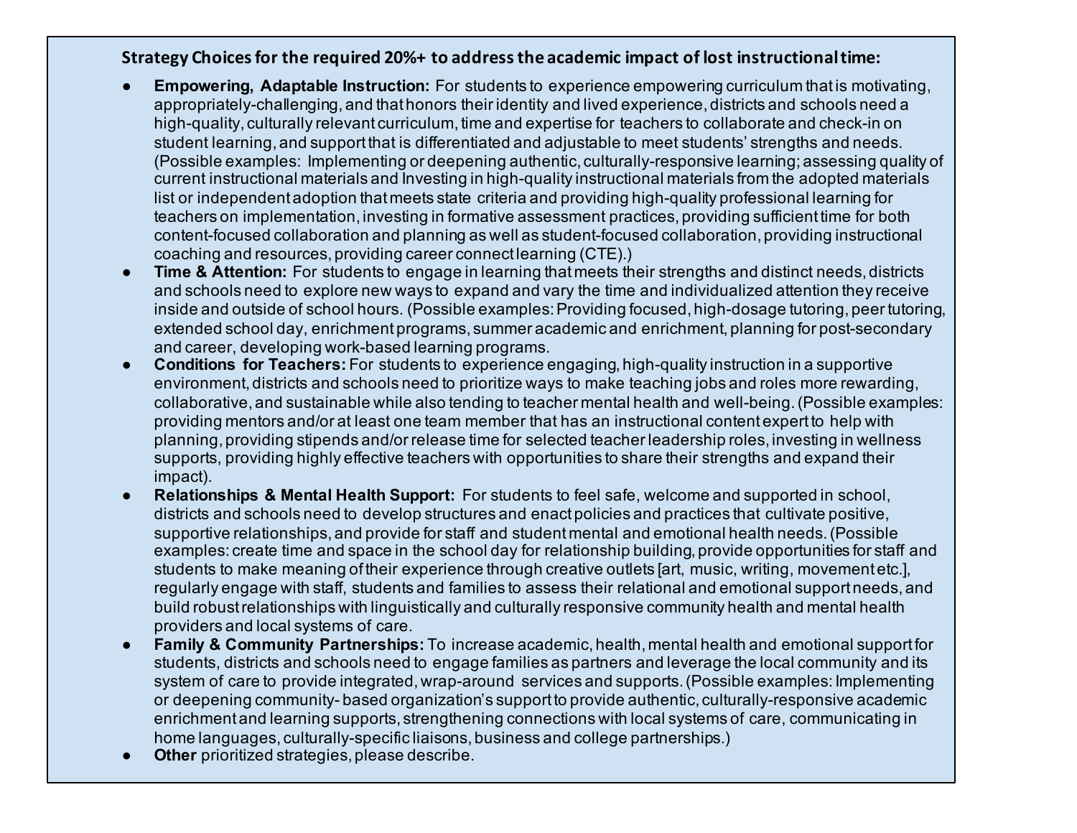# **Strategy Choices for the required 20%+ to address the academic impact of lost instructional time:**

- **Empowering, Adaptable Instruction:** For students to experience empowering curriculum that is motivating, appropriately-challenging, and that honors their identity and lived experience, districts and schools need a high-quality, culturally relevant curriculum, time and expertise for teachers to collaborate and check-in on student learning, and support that is differentiated and adjustable to meet students' strengths and needs. (Possible examples: Implementing or deepening authentic, culturally-responsive learning; assessing quality of current instructional materials and Investing in high-quality instructional materials from the adopted materials list or independent adoption that meets state criteria and providing high-quality professional learning for teachers on implementation, investing in formative assessment practices, providing sufficient time for both content-focused collaboration and planning as well as student-focused collaboration, providing instructional coaching and resources, providing career connect learning (CTE).)
- **Time & Attention:** For students to engage in learning that meets their strengths and distinct needs, districts and schools need to explore new ways to expand and vary the time and individualized attention they receive inside and outside of school hours. (Possible examples: Providing focused, high-dosage tutoring, peer tutoring, extended school day, enrichment programs, summer academic and enrichment, planning for post-secondary and career, developing work-based learning programs.
- **Conditions for Teachers:** For students to experience engaging, high-quality instruction in a supportive environment, districts and schools need to prioritize ways to make teaching jobs and roles more rewarding, collaborative, and sustainable while also tending to teacher mental health and well-being. (Possible examples: providing mentors and/or at least one team member that has an instructional content expert to help with planning, providing stipends and/or release time for selected teacher leadership roles, investing in wellness supports, providing highly effective teachers with opportunities to share their strengths and expand their impact).
- **Relationships & Mental Health Support:** For students to feel safe, welcome and supported in school, districts and schools need to develop structures and enact policies and practices that cultivate positive, supportive relationships, and provide for staff and student mental and emotional health needs. (Possible examples: create time and space in the school day for relationship building, provide opportunities for staff and students to make meaning of their experience through creative outlets [art, music, writing, movement etc.], regularly engage with staff, students and families to assess their relational and emotional support needs, and build robust relationships with linguistically and culturally responsive community health and mental health providers and local systems of care.
- **Family & Community Partnerships:** To increase academic, health, mental health and emotional support for students, districts and schools need to engage families as partners and leverage the local community and its system of care to provide integrated, wrap-around services and supports. (Possible examples: Implementing or deepening community- based organization's support to provide authentic, culturally-responsive academic enrichment and learning supports, strengthening connections with local systems of care, communicating in home languages, culturally-specific liaisons, business and college partnerships.)
- **Other** prioritized strategies, please describe.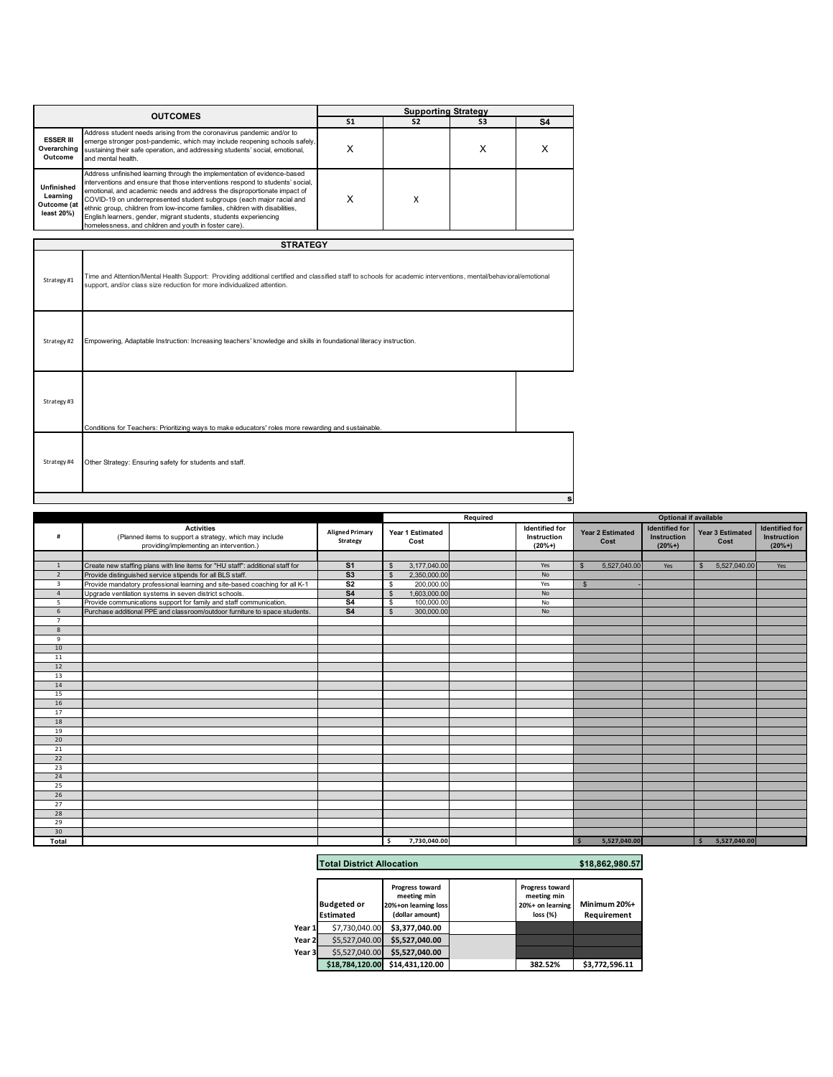|                                                            |                                                                                                                                                                                                                                                                                                                                                                                                                                                                                                                               |                | <b>Supporting Strategy</b> |                |                |
|------------------------------------------------------------|-------------------------------------------------------------------------------------------------------------------------------------------------------------------------------------------------------------------------------------------------------------------------------------------------------------------------------------------------------------------------------------------------------------------------------------------------------------------------------------------------------------------------------|----------------|----------------------------|----------------|----------------|
|                                                            | <b>OUTCOMES</b>                                                                                                                                                                                                                                                                                                                                                                                                                                                                                                               | S <sub>1</sub> | S <sub>2</sub>             | S <sub>3</sub> | S <sub>4</sub> |
| <b>ESSER III</b><br>Overarching<br>Outcome                 | Address student needs arising from the coronavirus pandemic and/or to<br>emerge stronger post-pandemic, which may include reopening schools safely,<br>sustaining their safe operation, and addressing students' social, emotional,<br>and mental health.                                                                                                                                                                                                                                                                     | X              |                            | X              | x              |
| <b>Unfinished</b><br>Learning<br>Outcome (at<br>least 20%) | Address unfinished learning through the implementation of evidence-based<br>interventions and ensure that those interventions respond to students' social,<br>emotional, and academic needs and address the disproportionate impact of<br>COVID-19 on underrepresented student subgroups (each major racial and<br>ethnic group, children from low-income families, children with disabilities,<br>English learners, gender, migrant students, students experiencing<br>homelessness, and children and youth in foster care). | X              | X                          |                |                |
|                                                            | <b>STRATEGY</b>                                                                                                                                                                                                                                                                                                                                                                                                                                                                                                               |                |                            |                |                |
| Strategy#1                                                 | Time and Attention/Mental Health Support: Providing additional certified and classified staff to schools for academic interventions, mental/behavioral/emotional<br>support, and/or class size reduction for more individualized attention.                                                                                                                                                                                                                                                                                   |                |                            |                |                |
| Strategy#2                                                 | Empowering, Adaptable Instruction: Increasing teachers' knowledge and skills in foundational literacy instruction.                                                                                                                                                                                                                                                                                                                                                                                                            |                |                            |                |                |
| Strategy#3                                                 | Conditions for Teachers: Prioritizing ways to make educators' roles more rewarding and sustainable.                                                                                                                                                                                                                                                                                                                                                                                                                           |                |                            |                |                |
| Strategy #4                                                | Other Strategy: Ensuring safety for students and staff.                                                                                                                                                                                                                                                                                                                                                                                                                                                                       |                |                            |                |                |

|                         |                                                                                                                          |                                    |               |                          | Required |                                           |                    |                                 | <b>Optional if available</b>                     |                              |                                                  |
|-------------------------|--------------------------------------------------------------------------------------------------------------------------|------------------------------------|---------------|--------------------------|----------|-------------------------------------------|--------------------|---------------------------------|--------------------------------------------------|------------------------------|--------------------------------------------------|
| #                       | <b>Activities</b><br>(Planned items to support a strategy, which may include<br>providing/implementing an intervention.) | <b>Aligned Primary</b><br>Strategy |               | Year 1 Estimated<br>Cost |          | Identified for<br>Instruction<br>$(20%+)$ |                    | <b>Year 2 Estimated</b><br>Cost | <b>Identified for</b><br>Instruction<br>$(20%+)$ | Year 3 Estimated<br>Cost     | <b>Identified for</b><br>Instruction<br>$(20%+)$ |
|                         |                                                                                                                          |                                    |               |                          |          |                                           |                    |                                 |                                                  |                              |                                                  |
|                         | Create new staffing plans with line items for "HU staff": additional staff for                                           | S <sub>1</sub>                     | $\mathcal{F}$ | 3,177,040.00             |          | Yes                                       |                    | 5,527,040.00                    | Yes                                              | 5,527,040.00<br>$\mathbf{s}$ | Yes                                              |
| $\overline{2}$          | Provide distinguished service stipends for all BLS staff.                                                                | S <sub>3</sub>                     | $\mathcal{F}$ | 2,350,000.00             |          | <b>No</b>                                 |                    |                                 |                                                  |                              |                                                  |
| $\overline{\mathbf{3}}$ | Provide mandatory professional learning and site-based coaching for all K-1                                              | S <sub>2</sub>                     | \$            | 200,000.00               |          | Yes                                       | $\mathbf{\hat{s}}$ |                                 |                                                  |                              |                                                  |
| $\overline{a}$          | Upgrade ventilation systems in seven district schools.                                                                   | S <sub>4</sub>                     | $\mathbf{s}$  | 1,603,000.00             |          | No                                        |                    |                                 |                                                  |                              |                                                  |
| 5                       | Provide communications support for family and staff communication.                                                       | S <sub>4</sub>                     | \$            | 100,000.00               |          | No                                        |                    |                                 |                                                  |                              |                                                  |
| 6                       | Purchase additional PPE and classroom/outdoor furniture to space students.                                               | S <sub>4</sub>                     | $\mathcal{F}$ | 300,000.00               |          | No                                        |                    |                                 |                                                  |                              |                                                  |
| $\overline{7}$          |                                                                                                                          |                                    |               |                          |          |                                           |                    |                                 |                                                  |                              |                                                  |
| 8                       |                                                                                                                          |                                    |               |                          |          |                                           |                    |                                 |                                                  |                              |                                                  |
| $\mathbf{q}$            |                                                                                                                          |                                    |               |                          |          |                                           |                    |                                 |                                                  |                              |                                                  |
| 10                      |                                                                                                                          |                                    |               |                          |          |                                           |                    |                                 |                                                  |                              |                                                  |
| 11                      |                                                                                                                          |                                    |               |                          |          |                                           |                    |                                 |                                                  |                              |                                                  |
| 12                      |                                                                                                                          |                                    |               |                          |          |                                           |                    |                                 |                                                  |                              |                                                  |
| 13                      |                                                                                                                          |                                    |               |                          |          |                                           |                    |                                 |                                                  |                              |                                                  |
| 14                      |                                                                                                                          |                                    |               |                          |          |                                           |                    |                                 |                                                  |                              |                                                  |
| 15                      |                                                                                                                          |                                    |               |                          |          |                                           |                    |                                 |                                                  |                              |                                                  |
| 16                      |                                                                                                                          |                                    |               |                          |          |                                           |                    |                                 |                                                  |                              |                                                  |
| 17                      |                                                                                                                          |                                    |               |                          |          |                                           |                    |                                 |                                                  |                              |                                                  |
| 18                      |                                                                                                                          |                                    |               |                          |          |                                           |                    |                                 |                                                  |                              |                                                  |
| 19                      |                                                                                                                          |                                    |               |                          |          |                                           |                    |                                 |                                                  |                              |                                                  |
| 20                      |                                                                                                                          |                                    |               |                          |          |                                           |                    |                                 |                                                  |                              |                                                  |
| 21                      |                                                                                                                          |                                    |               |                          |          |                                           |                    |                                 |                                                  |                              |                                                  |
| 22                      |                                                                                                                          |                                    |               |                          |          |                                           |                    |                                 |                                                  |                              |                                                  |
| 23                      |                                                                                                                          |                                    |               |                          |          |                                           |                    |                                 |                                                  |                              |                                                  |
| 24                      |                                                                                                                          |                                    |               |                          |          |                                           |                    |                                 |                                                  |                              |                                                  |
| 25                      |                                                                                                                          |                                    |               |                          |          |                                           |                    |                                 |                                                  |                              |                                                  |
| 26                      |                                                                                                                          |                                    |               |                          |          |                                           |                    |                                 |                                                  |                              |                                                  |
| 27                      |                                                                                                                          |                                    |               |                          |          |                                           |                    |                                 |                                                  |                              |                                                  |
| 28                      |                                                                                                                          |                                    |               |                          |          |                                           |                    |                                 |                                                  |                              |                                                  |
| 29                      |                                                                                                                          |                                    |               |                          |          |                                           |                    |                                 |                                                  |                              |                                                  |
| 30                      |                                                                                                                          |                                    |               |                          |          |                                           |                    |                                 |                                                  |                              |                                                  |
| Total                   |                                                                                                                          |                                    | s.            | 7,730,040.00             |          |                                           | -\$                | 5,527,040.00                    |                                                  | 5,527,040.00<br><b>S</b>     |                                                  |

## **Total District Allocation \$18,862,980.57**

**s**

|        | <b>Budgeted or</b><br><b>Estimated</b> | Progress toward<br>meeting min<br>20%+on learning loss<br>(dollar amount) | Progress toward<br>meeting min<br>20%+ on learning<br>loss (%) | Minimum 20%+<br>Requirement |
|--------|----------------------------------------|---------------------------------------------------------------------------|----------------------------------------------------------------|-----------------------------|
| Year 1 | \$7,730,040.00                         | \$3.377.040.00                                                            |                                                                |                             |
| Year 2 | \$5,527,040,00                         | \$5,527,040.00                                                            |                                                                |                             |
| Year 3 | \$5,527,040.00                         | \$5.527.040.00                                                            |                                                                |                             |
|        | \$18.784.120.00                        | \$14,431,120.00                                                           | 382.52%                                                        | \$3,772,596.11              |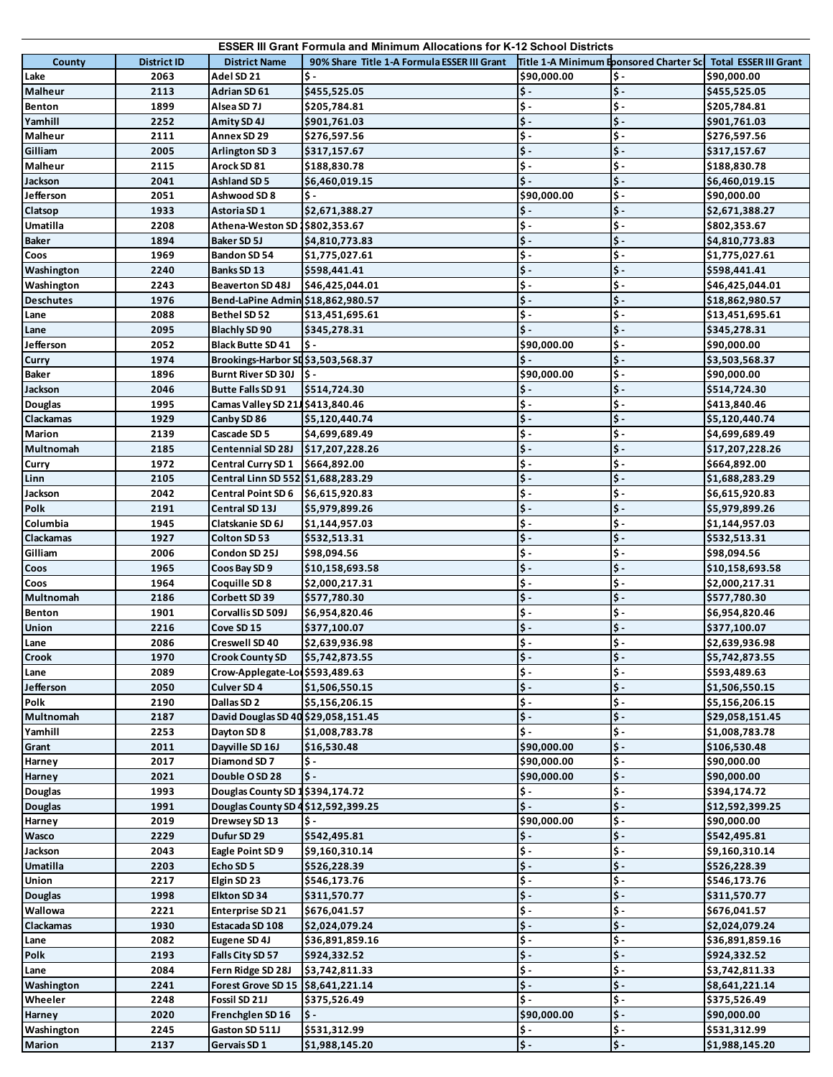|                  |                    |                                               | <b>ESSER III Grant Formula and Minimum Allocations for K-12 School Districts</b> |                                         |                                   |                              |
|------------------|--------------------|-----------------------------------------------|----------------------------------------------------------------------------------|-----------------------------------------|-----------------------------------|------------------------------|
| County           | <b>District ID</b> | <b>District Name</b>                          | 90% Share Title 1-A Formula ESSER III Grant                                      | Title 1-A Minimum Eponsored Charter Scl |                                   | <b>Total ESSER III Grant</b> |
| Lake             | 2063               | Adel SD 21                                    | $\mathsf{S}$ .                                                                   | \$90,000.00                             | $\mathsf{\$}$ -                   | \$90,000.00                  |
| Malheur          | 2113               | Adrian SD 61                                  | \$455,525.05                                                                     | $\mathsf{\$}$ .                         | $\frac{1}{2}$ .                   | \$455,525.05                 |
| <b>Benton</b>    | 1899               | Alsea SD 7J                                   | \$205,784.81                                                                     | \$-                                     | $\ddot{\bm{\zeta}}$ .             | \$205,784.81                 |
| Yamhill          | 2252               | Amity SD 4J                                   | \$901,761.03                                                                     | $\frac{1}{2}$ .                         | $\frac{1}{2}$ .                   | \$901,761.03                 |
| Malheur          | 2111               | Annex SD 29                                   | \$276,597.56                                                                     | \$-                                     | \$-                               | \$276,597.56                 |
| Gilliam          | 2005               | <b>Arlington SD 3</b>                         | \$317,157.67                                                                     | $\ddot{\mathsf{s}}$ .                   | $\ddot{\bm{\zeta}}$ .             | \$317,157.67                 |
| Malheur          | 2115               |                                               |                                                                                  | \$-                                     | $\frac{1}{2}$ .                   |                              |
| Jackson          |                    | Arock SD 81                                   | \$188,830.78                                                                     | $\ddot{\mathsf{s}}$ .                   | $\frac{1}{2}$ .                   | \$188,830.78                 |
| Jefferson        | 2041               | Ashland SD 5                                  | \$6,460,019.15                                                                   |                                         | \$-                               | \$6,460,019.15               |
|                  | 2051               | Ashwood SD 8                                  | ١\$٠                                                                             | \$90,000.00                             |                                   | \$90,000.00                  |
| Clatsop          | 1933               | Astoria SD 1                                  | \$2,671,388.27                                                                   | \$-                                     | $\frac{1}{2}$ -                   | \$2,671,388.27               |
| Umatilla         | 2208               | Athena-Weston SD 1\$802,353.67                |                                                                                  | $\overline{\mathsf{S}}$                 | $\overline{\mathsf{S}}$ -         | \$802,353.67                 |
| <b>Baker</b>     | 1894               | <b>Baker SD 5J</b>                            | \$4,810,773.83                                                                   | $\ddot{\mathsf{s}}$ .                   | $\frac{1}{2}$ .                   | \$4,810,773.83               |
| Coos             | 1969               | Bandon SD 54                                  | \$1,775,027.61                                                                   | \$-                                     | $\frac{1}{2}$ .                   | \$1,775,027.61               |
| Washington       | 2240               | Banks SD 13                                   | \$598,441.41                                                                     | $\overline{\boldsymbol{\zeta}}$ .       | $\frac{1}{2}$ .                   | \$598,441.41                 |
| Washington       | 2243               | Beaverton SD 48J                              | \$46,425,044.01                                                                  | \$-                                     | \$-                               | \$46,425,044.01              |
| <b>Deschutes</b> | 1976               | Bend-LaPine Admin \$18,862,980.57             |                                                                                  | $\ddot{\mathsf{s}}$ .                   | $\frac{1}{2}$ .                   | \$18,862,980.57              |
| Lane             | 2088               | Bethel SD 52                                  | \$13,451,695.61                                                                  | $\overline{\mathsf{s}}$ .               | \$-                               | \$13,451,695.61              |
| Lane             | 2095               | Blachly SD 90                                 | \$345,278.31                                                                     | $\dot{\mathsf{S}}$ .                    | $\frac{1}{2}$ .                   | \$345,278.31                 |
| Jefferson        | 2052               | <b>Black Butte SD 41</b>                      | <b>S</b> –                                                                       | \$90,000.00                             | $\ddot{\mathsf{s}}$ .             | \$90,000.00                  |
| Curry            | 1974               | Brookings-Harbor SL\$3,503,568.37             |                                                                                  | Ś –                                     | $\ddot{\bm{\zeta}}$ .             | \$3,503,568.37               |
| Baker            | 1896               | Burnt River SD 30J $\left \frac{6}{7}\right $ |                                                                                  | \$90,000.00                             | \$-                               | \$90,000.00                  |
|                  | 2046               |                                               | \$514,724.30                                                                     | $\mathsf{\$}$ .                         | $\ddot{\bm{\zeta}}$ .             |                              |
| Jackson          |                    | Butte Falls SD 91                             |                                                                                  |                                         |                                   | \$514,724.30                 |
| <b>Douglas</b>   | 1995               | Camas Valley SD 21J \$413,840.46              |                                                                                  | \$-                                     | $\ddot{\bm{\zeta}}$ .             | \$413,840.46                 |
| Clackamas        | 1929               | Canby SD 86                                   | \$5,120,440.74                                                                   | $\ddot{\bm{\zeta}}$ .                   | $\frac{1}{2}$ .                   | \$5,120,440.74               |
| Marion           | 2139               | Cascade SD 5                                  | \$4,699,689.49                                                                   | \$-                                     | \$-                               | \$4,699,689.49               |
| Multnomah        | 2185               | <b>Centennial SD 28J</b>                      | \$17,207,228.26                                                                  | \$-                                     | $\frac{1}{2}$ .                   | \$17,207,228.26              |
| Curry            | 1972               | <b>Central Curry SD 1</b>                     | \$664,892.00                                                                     | \$-                                     | $\frac{1}{2}$ .                   | \$664,892.00                 |
| Linn             | 2105               | Central Linn SD 552 \$1,688,283.29            |                                                                                  | $\overline{\boldsymbol{\zeta}}$ .       | $\overline{\boldsymbol{\zeta}}$ . | \$1,688,283.29               |
| Jackson          | 2042               | Central Point SD 6 \$6,615,920.83             |                                                                                  | \$-                                     | \$-                               | \$6,615,920.83               |
| Polk             | 2191               | Central SD 13J                                | \$5,979,899.26                                                                   | $\ddot{\bm{\zeta}}$ .                   | $\boldsymbol{\xi}$ .              | \$5,979,899.26               |
| Columbia         | 1945               | Clatskanie SD 6J                              | \$1,144,957.03                                                                   | $\overline{\mathsf{S}}$                 | \$-                               | \$1,144,957.03               |
| Clackamas        | 1927               | Colton SD 53                                  | \$532,513.31                                                                     | $\ddot{\bm{\zeta}}$ .                   | $\frac{1}{2}$ .                   | \$532,513.31                 |
| Gilliam          | 2006               | Condon SD 25J                                 | \$98,094.56                                                                      | $\ddot{\bm{\zeta}}$ .                   | $\frac{1}{2}$ .                   | \$98,094.56                  |
| Coos             | 1965               | Coos Bay SD 9                                 | \$10,158,693.58                                                                  | $\overline{\boldsymbol{\zeta}}$ .       | $\overline{\boldsymbol{\zeta}}$ . | \$10,158,693.58              |
| Coos             | 1964               | Coquille SD 8                                 | \$2,000,217.31                                                                   | \$-                                     | \$-                               | \$2,000,217.31               |
| Multnomah        | 2186               | Corbett SD 39                                 | \$577,780.30                                                                     | $\ddot{\mathsf{s}}$ .                   | $\frac{1}{2}$ .                   | \$577,780.30                 |
| Benton           | 1901               | Corvallis SD 509J                             |                                                                                  | \$-                                     | \$-                               |                              |
|                  |                    |                                               | \$6,954,820.46                                                                   | $\frac{1}{2}$ .                         | $\frac{1}{2}$ .                   | \$6,954,820.46               |
| <b>Union</b>     | 2216               | Cove SD 15                                    | \$377,100.07                                                                     | ¢٠                                      | $\frac{1}{2}$ .                   | \$377,100.07                 |
| Lane             | 2086               | Creswell SD 40                                | \$2,639,936.98                                                                   |                                         |                                   | \$2,639,936.98               |
| <b>Crook</b>     | 1970               | <b>Crook County SD</b>                        | \$5,742,873.55                                                                   | $\left  \right. \right\rangle$          | $\boldsymbol{\mathsf{S}}$ -       | \$5,742,873.55               |
| Lane             | 2089               | Crow-Applegate-Lor\$593,489.63                |                                                                                  | $\overline{\mathsf{S}}$                 | $\overline{\boldsymbol{\xi}}$ .   | \$593,489.63                 |
| Jefferson        | 2050               | Culver SD 4                                   | \$1,506,550.15                                                                   | $\ddot{\bm{\zeta}}$ .                   | $\frac{1}{2}$ .                   | \$1,506,550.15               |
| Polk             | 2190               | Dallas SD 2                                   | \$5,156,206.15                                                                   | \$-                                     | $\ddot{\textbf{s}}$ .             | \$5,156,206.15               |
| Multnomah        | 2187               | David Douglas SD 40 \$29,058,151.45           |                                                                                  | ٠ç                                      | $\frac{1}{2}$                     | \$29,058,151.45              |
| Yamhill          | 2253               | Dayton SD 8                                   | \$1,008,783.78                                                                   | \$-                                     | \$-                               | \$1,008,783.78               |
| Grant            | 2011               | Dayville SD 16J                               | \$16,530.48                                                                      | \$90,000.00                             | $\frac{1}{2}$ .                   | \$106,530.48                 |
| Harney           | 2017               | Diamond SD 7                                  | \$ -                                                                             | \$90,000.00                             | \$-                               | \$90,000.00                  |
| Harney           | 2021               | Double OSD 28                                 | $\mathsf{S}-$                                                                    | \$90,000.00                             | $\frac{1}{2}$ .                   | \$90,000.00                  |
| <b>Douglas</b>   | 1993               | Douglas County SD 1 \$394,174.72              |                                                                                  | $\mathsf{\$}$ -                         | \$-                               | \$394,174.72                 |
| <b>Douglas</b>   | 1991               | Douglas County SD 4 \$12,592,399.25           |                                                                                  | $\frac{1}{2}$ .                         | $\frac{1}{2}$ -                   | \$12,592,399.25              |
| Harney           | 2019               | Drewsey SD 13                                 | \$ -                                                                             | \$90,000.00                             | $\overline{\boldsymbol{\zeta}}$ . | \$90,000.00                  |
| Wasco            | 2229               | Dufur SD 29                                   | \$542,495.81                                                                     | \$-                                     | $\frac{1}{2}$ .                   | \$542,495.81                 |
| Jackson          | 2043               | Eagle Point SD 9                              | \$9,160,310.14                                                                   | \$-                                     | $\ddot{\textbf{s}}$ .             | \$9,160,310.14               |
| Umatilla         | 2203               | Echo SD 5                                     |                                                                                  | $\overline{\boldsymbol{\zeta}}$ .       | $\frac{1}{2}$ .                   |                              |
|                  |                    |                                               | \$526,228.39                                                                     | \$-                                     | \$-                               | \$526,228.39                 |
| Union            | 2217               | Elgin SD 23                                   | \$546,173.76                                                                     |                                         |                                   | \$546,173.76                 |
| <b>Douglas</b>   | 1998               | Elkton SD 34                                  | \$311,570.77                                                                     | $\ddot{\bm{\zeta}}$ .                   | $\frac{1}{2}$ .                   | \$311,570.77                 |
| Wallowa          | 2221               | <b>Enterprise SD 21</b>                       | \$676,041.57                                                                     | \$-                                     | \$-                               | \$676,041.57                 |
| Clackamas        | 1930               | Estacada SD 108                               | \$2,024,079.24                                                                   | $\ddot{\bm{\zeta}}$ .                   | $\frac{1}{2}$ .                   | \$2,024,079.24               |
| Lane             | 2082               | Eugene SD 4J                                  | \$36,891,859.16                                                                  | $\ddot{\textbf{s}}$ .                   | \$-                               | \$36,891,859.16              |
| Polk             | 2193               | Falls City SD 57                              | \$924,332.52                                                                     | $\ddot{\textbf{S}}$ -                   | $\ddot{\textbf{S}}$ -             | \$924,332.52                 |
| Lane             | 2084               | Fern Ridge SD 28J                             | \$3,742,811.33                                                                   | $\overline{\boldsymbol{\zeta}}$ .       | $\overline{\mathsf{S}}$ -         | \$3,742,811.33               |
| Washington       | 2241               | Forest Grove SD 15 \$8,641,221.14             |                                                                                  | $\overline{\mathsf{S}}$                 | $\ddot{\bm{\zeta}}$ .             | \$8,641,221.14               |
| Wheeler          | 2248               | Fossil SD 21J                                 | \$375,526.49                                                                     | $\overline{\boldsymbol{\xi}}$ .         | $\ddot{\textbf{s}}$ .             | \$375,526.49                 |
| Harney           | 2020               | Frenchglen SD 16                              | $\mathsf{S}$                                                                     | \$90,000.00                             | $\frac{1}{2}$                     | \$90,000.00                  |
| Washington       | 2245               | Gaston SD 511J                                | \$531,312.99                                                                     | $\mathsf{\$}$ -                         | \$-                               | \$531,312.99                 |
| Marion           | 2137               | Gervais SD 1                                  | \$1,988,145.20                                                                   | $\left  \boldsymbol{\xi} \right $       | $\frac{1}{2}$                     | \$1,988,145.20               |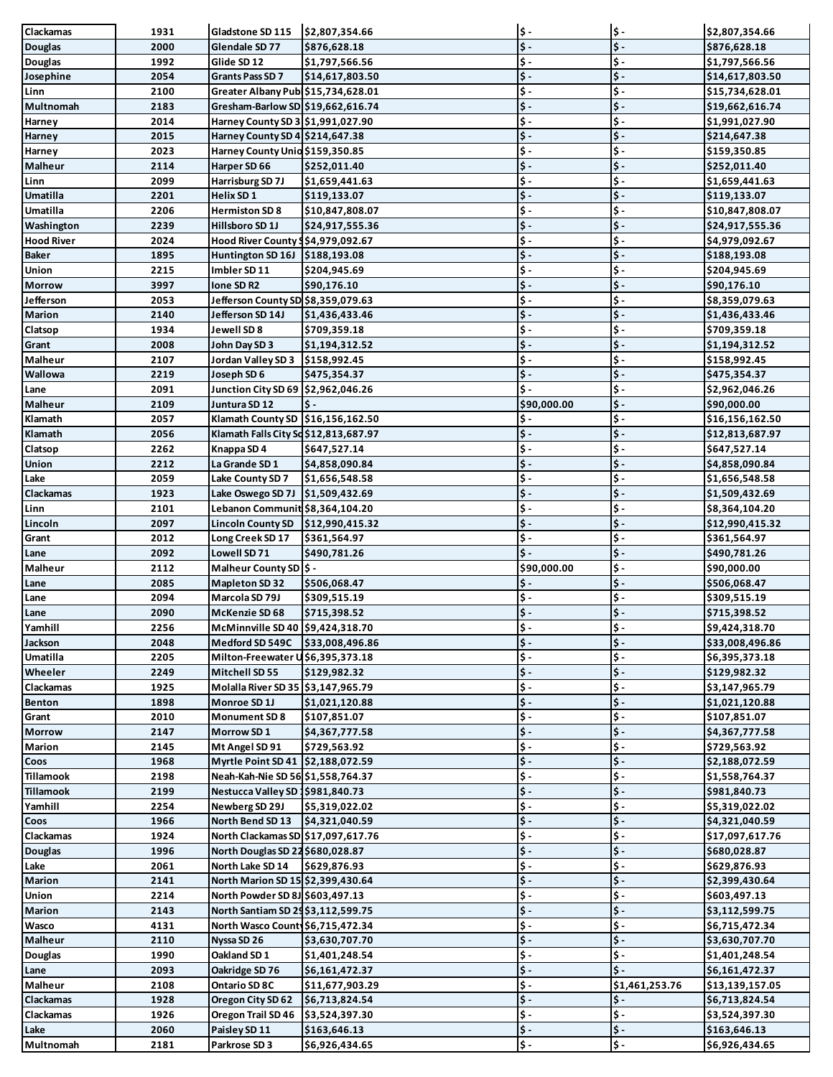| Clackamas                                         | 1931         | Gladstone SD 115 \$2,807,354.66                             |                                 | $\ddot{\bm{\zeta}}$ .                          | $\ddot{\bm{\mathsf{s}}}$ .                                | \$2,807,354.66                    |
|---------------------------------------------------|--------------|-------------------------------------------------------------|---------------------------------|------------------------------------------------|-----------------------------------------------------------|-----------------------------------|
| <b>Douglas</b>                                    | 2000         | Glendale SD 77                                              | \$876,628.18                    | $\overline{\mathsf{S}}$                        | $\ddot{\bm{\zeta}}$ .                                     | \$876,628.18                      |
| <b>Douglas</b>                                    | 1992         | Glide SD 12                                                 | \$1,797,566.56                  | \$-                                            | $\frac{1}{2}$                                             | \$1,797,566.56                    |
| Josephine                                         | 2054         | Grants Pass SD 7                                            | \$14,617,803.50                 | $\frac{1}{2}$ .                                | $\frac{1}{2}$ .                                           | \$14,617,803.50                   |
| Linn                                              | 2100         | Greater Albany Publ \$15,734,628.01                         |                                 | \$-                                            | $\ddot{\mathsf{s}}$ .                                     | \$15,734,628.01                   |
| Multnomah                                         | 2183         | Gresham-Barlow SD \$19,662,616.74                           |                                 | \$-                                            | $\boldsymbol{\mathsf{S}}$ .                               | \$19,662,616.74                   |
| Harney                                            | 2014         | Harney County SD 3 \$1,991,027.90                           |                                 | \$-                                            | $\frac{1}{2}$                                             | \$1,991,027.90                    |
| Harney                                            | 2015         | Harney County SD 4 \$214,647.38                             |                                 | $\overline{\boldsymbol{\zeta}}$ .              | $\frac{1}{2}$                                             | \$214,647.38                      |
| Harney                                            | 2023         | Harney County Unio \$159,350.85                             |                                 | \$-                                            | $\frac{1}{2}$ .                                           | \$159,350.85                      |
| Malheur                                           | 2114         | Harper SD 66                                                | \$252,011.40                    | $\frac{1}{2}$ .                                | $\frac{1}{2}$                                             | \$252,011.40                      |
| Linn                                              | 2099         | Harrisburg SD 7J                                            | \$1,659,441.63                  | \$-                                            | $\mathsf{\$}$ .                                           | \$1,659,441.63                    |
| Umatilla                                          | 2201         | Helix SD 1                                                  | \$119,133.07                    | $\frac{1}{2}$ .                                | $\frac{1}{2}$                                             | \$119,133.07                      |
| Umatilla                                          | 2206         | <b>Hermiston SD 8</b>                                       | \$10,847,808.07                 | \$-                                            | $\frac{1}{2}$                                             | \$10,847,808.07                   |
| Washington                                        | 2239         | Hillsboro SD 1J                                             | \$24,917,555.36                 | $\overline{\boldsymbol{\xi}}$ .                | $\frac{1}{2}$                                             | \$24,917,555.36                   |
| <b>Hood River</b>                                 | 2024         | Hood River County 9\$4,979,092.67                           |                                 | $\ddot{\mathsf{s}}$ .                          | $\frac{1}{2}$ .                                           | \$4,979,092.67                    |
| <b>Baker</b>                                      | 1895         | Huntington SD 16J \$188,193.08                              |                                 | $\ddot{\textbf{S}}$ -                          | $\ddot{\bm{\zeta}}$ .                                     | \$188,193.08                      |
| Union                                             | 2215         | Imbler SD 11                                                | \$204,945.69                    | \$-                                            | $\frac{1}{2}$ .                                           | \$204,945.69                      |
| <b>Morrow</b>                                     | 3997         | Ione SD R2                                                  | \$90,176.10                     | $\frac{1}{2}$ .                                | $\frac{1}{2}$                                             | \$90,176.10                       |
| Jefferson                                         | 2053         | Jefferson County SD \$8,359,079.63                          |                                 | $\overline{\boldsymbol{\zeta}}$ .              | $\frac{1}{2}$                                             | \$8,359,079.63                    |
| Marion                                            | 2140         | Jefferson SD 14J                                            | \$1,436,433.46                  | $\ddot{\bm{\zeta}}$ .                          | $\frac{1}{2}$                                             | \$1,436,433.46                    |
| Clatsop                                           | 1934         | Jewell SD 8                                                 | \$709,359.18                    | \$-                                            | $\boldsymbol{\mathsf{s}}$ .                               | \$709,359.18                      |
| Grant                                             | 2008         | John Day SD 3                                               | \$1,194,312.52                  | $\frac{1}{2}$ .                                | $\ddot{\mathsf{s}}$ .                                     | \$1,194,312.52                    |
| Malheur                                           | 2107         | Jordan Valley SD 3 \$158,992.45                             |                                 | $\ddot{\textbf{S}}$ -                          | $\boldsymbol{\mathsf{s}}$ .                               | \$158,992.45                      |
| Wallowa                                           | 2219         | Joseph SD 6                                                 | \$475,354.37                    | $\frac{1}{2}$ .                                | $\frac{1}{2}$                                             | \$475,354.37                      |
| Lane                                              | 2091         | Junction City SD 69 \$2,962,046.26                          |                                 | $\dot{\mathsf{s}}$ .                           | $\ddot{\mathsf{s}}$ .                                     | \$2,962,046.26                    |
| Malheur                                           | 2109         | Juntura SD 12                                               | Ś –                             | \$90,000.00                                    | $\vert \mathsf{s} \vert$                                  | \$90,000.00                       |
| Klamath                                           | 2057         | Klamath County SD \$16,156,162.50                           |                                 | \$-                                            | $\frac{1}{2}$ .<br>$\mathsf{\$}$ .                        | \$16,156,162.50                   |
| Klamath                                           | 2056         | Klamath Falls City Sd \$12,813,687.97                       |                                 | \$-                                            |                                                           | \$12,813,687.97                   |
| Clatsop                                           | 2262         | Knappa SD 4                                                 | \$647,527.14                    | $\ddot{\textbf{S}}$ -<br>$\ddot{\bm{\zeta}}$ . | $\frac{1}{2}$ .                                           | \$647,527.14                      |
| Union                                             | 2212         | <b>La Grande SD 1</b>                                       | \$4,858,090.84                  | \$-                                            | $\frac{1}{2}$<br>$\frac{1}{2}$                            | \$4,858,090.84                    |
| Lake<br><b>Clackamas</b>                          | 2059         | Lake County SD 7                                            | \$1,656,548.58                  | $\frac{1}{2}$ .                                | $\frac{1}{2}$ .                                           | \$1,656,548.58                    |
|                                                   | 1923         | Lake Oswego SD 7J   \$1,509,432.69                          |                                 | $\ddot{\textbf{S}}$ -                          | $\boldsymbol{\mathsf{s}}$ .                               | \$1,509,432.69                    |
| Linn                                              | 2101<br>2097 | Lebanon Communit \$8,364,104.20<br><b>Lincoln County SD</b> |                                 | $\ddot{\bm{\zeta}}$ .                          | $\ddot{\mathsf{s}}$ .                                     | \$8,364,104.20<br>\$12,990,415.32 |
| Lincoln<br>Grant                                  | 2012         | Long Creek SD 17                                            | \$12,990,415.32<br>\$361,564.97 | \$-                                            | $\frac{1}{2}$ .                                           | \$361,564.97                      |
| Lane                                              | 2092         | Lowell SD 71                                                | \$490,781.26                    | $\frac{1}{2}$ .                                | $\left  \boldsymbol{\xi} \right $                         | \$490,781.26                      |
| Malheur                                           | 2112         | Malheur County SD   \$ -                                    |                                 | \$90,000.00                                    | $\frac{1}{2}$                                             | \$90,000.00                       |
| Lane                                              | 2085         | <b>Mapleton SD 32</b>                                       | \$506,068.47                    | \$-                                            | $\frac{1}{2}$                                             | \$506,068.47                      |
| Lane                                              | 2094         | Marcola SD 79J                                              | \$309,515.19                    | \$-                                            | $\frac{1}{2}$ .                                           | \$309,515.19                      |
| Lane                                              | 2090         | McKenzie SD 68                                              | \$715,398.52                    | \$-                                            | $\frac{1}{2}$                                             | \$715,398.52                      |
| Yamhill                                           | 2256         | McMinnville SD 40 \$9,424,318.70                            |                                 | $\mathsf{S}$ .                                 | $\ddot{\bm{\zeta}}$ .                                     | \$9,424,318.70                    |
| Jackson                                           | 2048         | Medford SD 549C                                             | \$33,008,496.86                 | $\vert \mathsf{s} \vert$                       | $\ddot{\mathsf{s}}$ .                                     | \$33,008,496.86                   |
| Umatilla                                          | 2205         | Milton-Freewater U\$6,395,373.18                            |                                 | \$-                                            | $\ddot{\bm{\zeta}}$ .                                     | \$6,395,373.18                    |
| Wheeler                                           | 2249         | Mitchell SD 55                                              | \$129,982.32                    | $\ddot{\bm{\zeta}}$ .                          | $\frac{1}{2}$                                             | \$129,982.32                      |
| Clackamas                                         | 1925         | Molalla River SD 35 \$3,147,965.79                          |                                 | $\ddot{\textbf{S}}$ -                          | $\frac{1}{2}$                                             | \$3,147,965.79                    |
| Benton                                            | 1898         | Monroe SD 1J                                                | \$1,021,120.88                  | $\ddot{\textbf{S}}$ -                          | $\frac{1}{2}$                                             | \$1,021,120.88                    |
| Grant                                             | 2010         | <b>Monument SD 8</b>                                        | \$107,851.07                    | $\overline{\boldsymbol{\zeta}}$ .              | $\frac{1}{2}$                                             | \$107,851.07                      |
| <b>Morrow</b>                                     | 2147         |                                                             |                                 |                                                |                                                           |                                   |
| Marion                                            |              | Morrow SD 1                                                 | \$4,367,777.58                  | $\overline{\boldsymbol{\zeta}}$ .              | $\frac{1}{2}$                                             | \$4,367,777.58                    |
| Coos                                              | 2145         | Mt Angel SD 91                                              | \$729,563.92                    | $\overline{\boldsymbol{\zeta}}$ .              | $\boldsymbol{\mathsf{S}}$ -                               | \$729,563.92                      |
|                                                   | 1968         | Myrtle Point SD 41 \$2,188,072.59                           |                                 | $\frac{1}{2}$ .                                | $\ddot{\bm{\zeta}}$ .                                     | \$2,188,072.59                    |
| <b>Tillamook</b>                                  | 2198         | Neah-Kah-Nie SD 56 \$1,558,764.37                           |                                 | \$-                                            | \$-                                                       | \$1,558,764.37                    |
| <b>Tillamook</b>                                  | 2199         | Nestucca Valley SD 1\$981,840.73                            |                                 | $\frac{1}{2}$ .                                | $\frac{1}{2}$                                             | \$981,840.73                      |
| Yamhill                                           | 2254         | Newberg SD 29J                                              | \$5,319,022.02                  | \$-                                            | \$-                                                       | \$5,319,022.02                    |
| Coos                                              | 1966         | North Bend SD 13                                            | \$4,321,040.59                  | $\overline{\boldsymbol{\xi}}$ .                | $\frac{1}{2}$                                             | \$4,321,040.59                    |
|                                                   | 1924         | North Clackamas SD \$17,097,617.76                          |                                 | $\overline{\boldsymbol{\zeta}}$ .              | $\boldsymbol{\mathsf{S}}$ -                               | \$17,097,617.76                   |
| <b>Douglas</b>                                    | 1996         | North Douglas SD 22 \$680,028.87                            |                                 | $\ddot{\textbf{S}}$ -                          | $\frac{1}{2}$                                             | \$680,028.87                      |
| Lake                                              | 2061         | North Lake SD 14                                            | \$629,876.93                    | $\overline{\boldsymbol{\zeta}}$ .              | $\left  \boldsymbol{\mathsf{s}} \right $                  | \$629,876.93                      |
| Marion                                            | 2141         | North Marion SD 15 \$2,399,430.64                           |                                 | $\frac{1}{2}$ .                                | $\frac{1}{2}$                                             | \$2,399,430.64                    |
| Union                                             | 2214         | North Powder SD 8J \$603,497.13                             |                                 | $\overline{\boldsymbol{\zeta}}$ .              | $\frac{1}{2}$                                             | \$603,497.13                      |
| <b>Marion</b>                                     | 2143         | North Santiam SD 29\$3,112,599.75                           |                                 | $\ddot{\bm{\zeta}}$ .                          | $\frac{1}{2}$                                             | \$3,112,599.75                    |
| Wasco                                             | 4131         | North Wasco County \$6,715,472.34                           |                                 | ٠ç                                             | \$-                                                       | \$6,715,472.34                    |
| <b>Malheur</b>                                    | 2110         | Nyssa SD 26                                                 | \$3,630,707.70                  | $\ddot{\textbf{S}}$ -                          | $\frac{1}{2}$                                             | \$3,630,707.70                    |
| <b>Douglas</b>                                    | 1990         | Oakland SD 1                                                | \$1,401,248.54                  | $\ddot{\textbf{S}}$ -                          | $\frac{1}{2}$                                             | \$1,401,248.54                    |
| Lane                                              | 2093         | Oakridge SD 76                                              | \$6,161,472.37                  | $\frac{1}{2}$ .                                | $\frac{1}{2}$                                             | \$6,161,472.37                    |
| Malheur                                           | 2108         | Ontario SD 8C                                               | \$11,677,903.29                 | $\overline{\boldsymbol{\zeta}}$ .              | \$1,461,253.76                                            | \$13,139,157.05                   |
|                                                   | 1928         | Oregon City SD 62                                           | \$6,713,824.54                  | $\overline{\boldsymbol{\zeta}}$ .              | \$-                                                       | \$6,713,824.54                    |
| <b>Clackamas</b><br><b>Clackamas</b><br>Clackamas | 1926         | Oregon Trail SD 46                                          | \$3,524,397.30                  | ٠i                                             | $\ddot{\bm{\zeta}}$ .                                     | \$3,524,397.30                    |
| Lake                                              | 2060         | Paisley SD 11                                               | \$163,646.13                    | $\frac{1}{2}$<br>\$-                           | $\frac{1}{2}$<br>$\left  \boldsymbol{\mathsf{s}} \right $ | \$163,646.13                      |